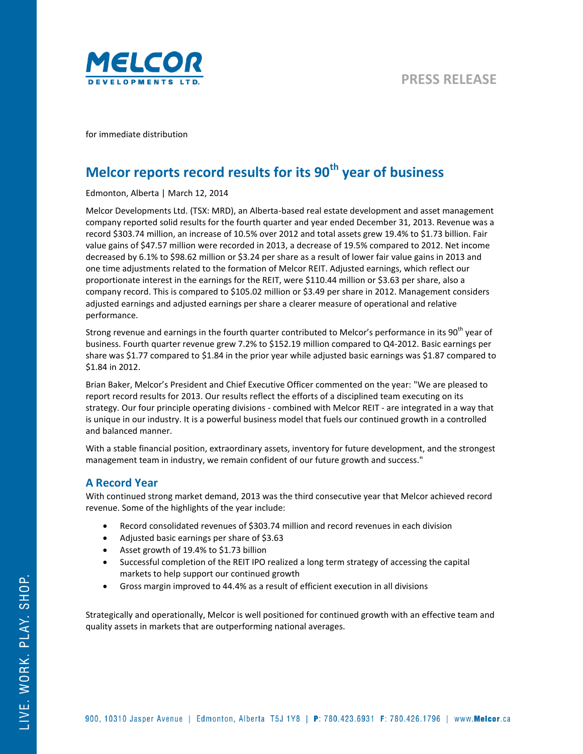

for immediate distribution

# **Melcor reports record results for its 90th year of business**

Edmonton, Alberta | March 12, 2014

Melcor Developments Ltd. (TSX: MRD), an Alberta-based real estate development and asset management company reported solid results for the fourth quarter and year ended December 31, 2013. Revenue was a record \$303.74 million, an increase of 10.5% over 2012 and total assets grew 19.4% to \$1.73 billion. Fair value gains of \$47.57 million were recorded in 2013, a decrease of 19.5% compared to 2012. Net income decreased by 6.1% to \$98.62 million or \$3.24 per share as a result of lower fair value gains in 2013 and one time adjustments related to the formation of Melcor REIT. Adjusted earnings, which reflect our proportionate interest in the earnings for the REIT, were \$110.44 million or \$3.63 per share, also a company record. This is compared to \$105.02 million or \$3.49 per share in 2012. Management considers adjusted earnings and adjusted earnings per share a clearer measure of operational and relative performance.

Strong revenue and earnings in the fourth quarter contributed to Melcor's performance in its 90<sup>th</sup> year of business. Fourth quarter revenue grew 7.2% to \$152.19 million compared to Q4-2012. Basic earnings per share was \$1.77 compared to \$1.84 in the prior year while adjusted basic earnings was \$1.87 compared to \$1.84 in 2012.

Brian Baker, Melcor's President and Chief Executive Officer commented on the year: "We are pleased to report record results for 2013. Our results reflect the efforts of a disciplined team executing on its strategy. Our four principle operating divisions - combined with Melcor REIT - are integrated in a way that is unique in our industry. It is a powerful business model that fuels our continued growth in a controlled and balanced manner.

With a stable financial position, extraordinary assets, inventory for future development, and the strongest management team in industry, we remain confident of our future growth and success."

## **A Record Year**

With continued strong market demand, 2013 was the third consecutive year that Melcor achieved record revenue. Some of the highlights of the year include:

- Record consolidated revenues of \$303.74 million and record revenues in each division
- Adjusted basic earnings per share of \$3.63
- Asset growth of 19.4% to \$1.73 billion
- Successful completion of the REIT IPO realized a long term strategy of accessing the capital markets to help support our continued growth
- Gross margin improved to 44.4% as a result of efficient execution in all divisions

Strategically and operationally, Melcor is well positioned for continued growth with an effective team and quality assets in markets that are outperforming national averages.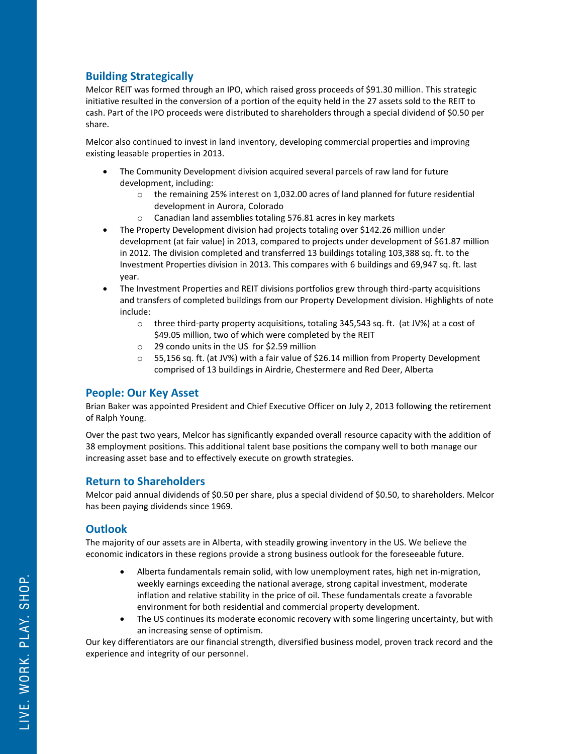## **Building Strategically**

Melcor REIT was formed through an IPO, which raised gross proceeds of \$91.30 million. This strategic initiative resulted in the conversion of a portion of the equity held in the 27 assets sold to the REIT to cash. Part of the IPO proceeds were distributed to shareholders through a special dividend of \$0.50 per share.

Melcor also continued to invest in land inventory, developing commercial properties and improving existing leasable properties in 2013.

- The Community Development division acquired several parcels of raw land for future development, including:
	- o the remaining 25% interest on 1,032.00 acres of land planned for future residential development in Aurora, Colorado
	- o Canadian land assemblies totaling 576.81 acres in key markets
- The Property Development division had projects totaling over \$142.26 million under development (at fair value) in 2013, compared to projects under development of \$61.87 million in 2012. The division completed and transferred 13 buildings totaling 103,388 sq. ft. to the Investment Properties division in 2013. This compares with 6 buildings and 69,947 sq. ft. last year.
- The Investment Properties and REIT divisions portfolios grew through third-party acquisitions and transfers of completed buildings from our Property Development division. Highlights of note include:
	- o three third-party property acquisitions, totaling 345,543 sq. ft. (at JV%) at a cost of \$49.05 million, two of which were completed by the REIT
	- o 29 condo units in the US for \$2.59 million
	- $\circ$  55,156 sq. ft. (at JV%) with a fair value of \$26.14 million from Property Development comprised of 13 buildings in Airdrie, Chestermere and Red Deer, Alberta

### **People: Our Key Asset**

Brian Baker was appointed President and Chief Executive Officer on July 2, 2013 following the retirement of Ralph Young.

Over the past two years, Melcor has significantly expanded overall resource capacity with the addition of 38 employment positions. This additional talent base positions the company well to both manage our increasing asset base and to effectively execute on growth strategies.

### **Return to Shareholders**

Melcor paid annual dividends of \$0.50 per share, plus a special dividend of \$0.50, to shareholders. Melcor has been paying dividends since 1969.

## **Outlook**

The majority of our assets are in Alberta, with steadily growing inventory in the US. We believe the economic indicators in these regions provide a strong business outlook for the foreseeable future.

- Alberta fundamentals remain solid, with low unemployment rates, high net in-migration, weekly earnings exceeding the national average, strong capital investment, moderate inflation and relative stability in the price of oil. These fundamentals create a favorable environment for both residential and commercial property development.
- The US continues its moderate economic recovery with some lingering uncertainty, but with an increasing sense of optimism.

Our key differentiators are our financial strength, diversified business model, proven track record and the experience and integrity of our personnel.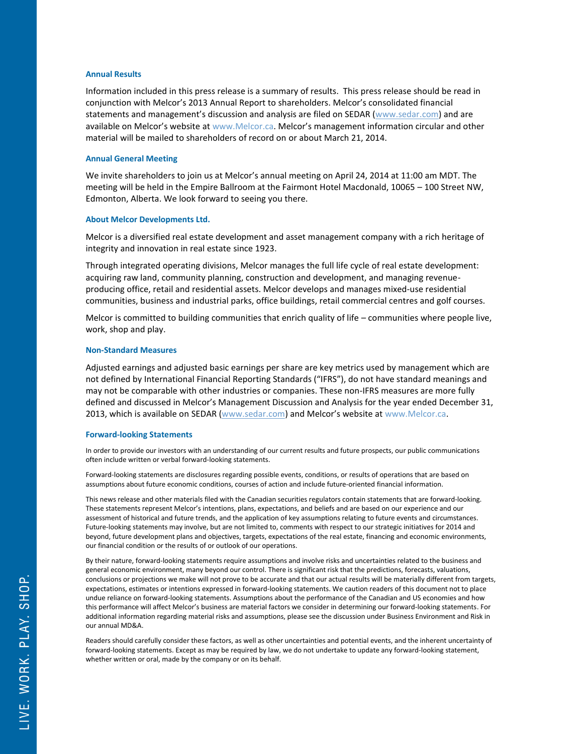#### **Annual Results**

Information included in this press release is a summary of results. This press release should be read in conjunction with Melcor's 2013 Annual Report to shareholders. Melcor's consolidated financial statements and management's discussion and analysis are filed on SEDAR [\(www.sedar.com\)](http://www.sedar.com/) and are available on Melcor's website at www.Melcor.ca. Melcor's management information circular and other material will be mailed to shareholders of record on or about March 21, 2014.

#### **Annual General Meeting**

We invite shareholders to join us at Melcor's annual meeting on April 24, 2014 at 11:00 am MDT. The meeting will be held in the Empire Ballroom at the Fairmont Hotel Macdonald, 10065 – 100 Street NW, Edmonton, Alberta. We look forward to seeing you there.

#### **About Melcor Developments Ltd.**

Melcor is a diversified real estate development and asset management company with a rich heritage of integrity and innovation in real estate since 1923.

Through integrated operating divisions, Melcor manages the full life cycle of real estate development: acquiring raw land, community planning, construction and development, and managing revenueproducing office, retail and residential assets. Melcor develops and manages mixed-use residential communities, business and industrial parks, office buildings, retail commercial centres and golf courses.

Melcor is committed to building communities that enrich quality of life – communities where people live, work, shop and play.

#### **Non-Standard Measures**

Adjusted earnings and adjusted basic earnings per share are key metrics used by management which are not defined by International Financial Reporting Standards ("IFRS"), do not have standard meanings and may not be comparable with other industries or companies. These non-IFRS measures are more fully defined and discussed in Melcor's Management Discussion and Analysis for the year ended December 31, 2013, which is available on SEDAR [\(www.sedar.com\)](http://www.sedar.com/) and Melcor's website at www.Melcor.ca.

#### **Forward-looking Statements**

In order to provide our investors with an understanding of our current results and future prospects, our public communications often include written or verbal forward‐looking statements.

Forward‐looking statements are disclosures regarding possible events, conditions, or results of operations that are based on assumptions about future economic conditions, courses of action and include future‐oriented financial information.

This news release and other materials filed with the Canadian securities regulators contain statements that are forward‐looking. These statements represent Melcor's intentions, plans, expectations, and beliefs and are based on our experience and our assessment of historical and future trends, and the application of key assumptions relating to future events and circumstances. Future‐looking statements may involve, but are not limited to, comments with respect to our strategic initiatives for 2014 and beyond, future development plans and objectives, targets, expectations of the real estate, financing and economic environments, our financial condition or the results of or outlook of our operations.

By their nature, forward‐looking statements require assumptions and involve risks and uncertainties related to the business and general economic environment, many beyond our control. There is significant risk that the predictions, forecasts, valuations, conclusions or projections we make will not prove to be accurate and that our actual results will be materially different from targets, expectations, estimates or intentions expressed in forward‐looking statements. We caution readers of this document not to place undue reliance on forward‐looking statements. Assumptions about the performance of the Canadian and US economies and how this performance will affect Melcor's business are material factors we consider in determining our forward‐looking statements. For additional information regarding material risks and assumptions, please see the discussion under Business Environment and Risk in our annual MD&A.

Readers should carefully consider these factors, as well as other uncertainties and potential events, and the inherent uncertainty of forward‐looking statements. Except as may be required by law, we do not undertake to update any forward‐looking statement, whether written or oral, made by the company or on its behalf.